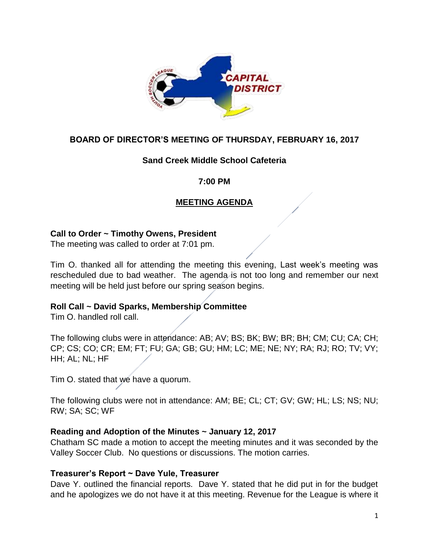

# **BOARD OF DIRECTOR'S MEETING OF THURSDAY, FEBRUARY 16, 2017**

## **Sand Creek Middle School Cafeteria**

#### **7:00 PM**

# **MEETING AGENDA**

#### **Call to Order ~ Timothy Owens, President**

The meeting was called to order at 7:01 pm.

Tim O. thanked all for attending the meeting this evening, Last week's meeting was rescheduled due to bad weather. The agenda is not too long and remember our next meeting will be held just before our spring season begins.

#### **Roll Call ~ David Sparks, Membership Committee**

Tim O. handled roll call.

The following clubs were in attendance: AB; AV; BS; BK; BW; BR; BH; CM; CU; CA; CH; CP; CS; CO; CR; EM; FT; FU; GA; GB; GU; HM; LC; ME; NE; NY; RA; RJ; RO; TV; VY; HH; AL; NL; HF

Tim O. stated that we have a quorum.

The following clubs were not in attendance: AM; BE; CL; CT; GV; GW; HL; LS; NS; NU; RW; SA; SC; WF

#### **Reading and Adoption of the Minutes ~ January 12, 2017**

Chatham SC made a motion to accept the meeting minutes and it was seconded by the Valley Soccer Club. No questions or discussions. The motion carries.

#### **Treasurer's Report ~ Dave Yule, Treasurer**

Dave Y. outlined the financial reports. Dave Y. stated that he did put in for the budget and he apologizes we do not have it at this meeting. Revenue for the League is where it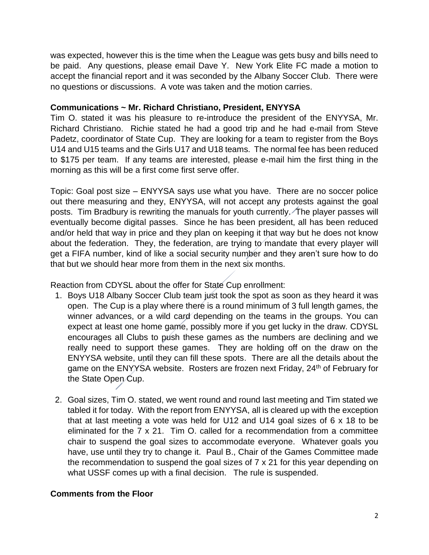was expected, however this is the time when the League was gets busy and bills need to be paid. Any questions, please email Dave Y. New York Elite FC made a motion to accept the financial report and it was seconded by the Albany Soccer Club. There were no questions or discussions. A vote was taken and the motion carries.

#### **Communications ~ Mr. Richard Christiano, President, ENYYSA**

Tim O. stated it was his pleasure to re-introduce the president of the ENYYSA, Mr. Richard Christiano. Richie stated he had a good trip and he had e-mail from Steve Padetz, coordinator of State Cup. They are looking for a team to register from the Boys U14 and U15 teams and the Girls U17 and U18 teams. The normal fee has been reduced to \$175 per team. If any teams are interested, please e-mail him the first thing in the morning as this will be a first come first serve offer.

Topic: Goal post size – ENYYSA says use what you have. There are no soccer police out there measuring and they, ENYYSA, will not accept any protests against the goal posts. Tim Bradbury is rewriting the manuals for youth currently. The player passes will eventually become digital passes. Since he has been president, all has been reduced and/or held that way in price and they plan on keeping it that way but he does not know about the federation. They, the federation, are trying to mandate that every player will get a FIFA number, kind of like a social security number and they aren't sure how to do that but we should hear more from them in the next six months.

Reaction from CDYSL about the offer for State Cup enrollment:

- 1. Boys U18 Albany Soccer Club team just took the spot as soon as they heard it was open. The Cup is a play where there is a round minimum of 3 full length games, the winner advances, or a wild card depending on the teams in the groups. You can expect at least one home game, possibly more if you get lucky in the draw. CDYSL encourages all Clubs to push these games as the numbers are declining and we really need to support these games. They are holding off on the draw on the ENYYSA website, until they can fill these spots. There are all the details about the game on the ENYYSA website. Rosters are frozen next Friday, 24<sup>th</sup> of February for the State Open Cup.
- 2. Goal sizes, Tim O. stated, we went round and round last meeting and Tim stated we tabled it for today. With the report from ENYYSA, all is cleared up with the exception that at last meeting a vote was held for U12 and U14 goal sizes of 6 x 18 to be eliminated for the 7 x 21. Tim O. called for a recommendation from a committee chair to suspend the goal sizes to accommodate everyone. Whatever goals you have, use until they try to change it. Paul B., Chair of the Games Committee made the recommendation to suspend the goal sizes of 7 x 21 for this year depending on what USSF comes up with a final decision. The rule is suspended.

# **Comments from the Floor**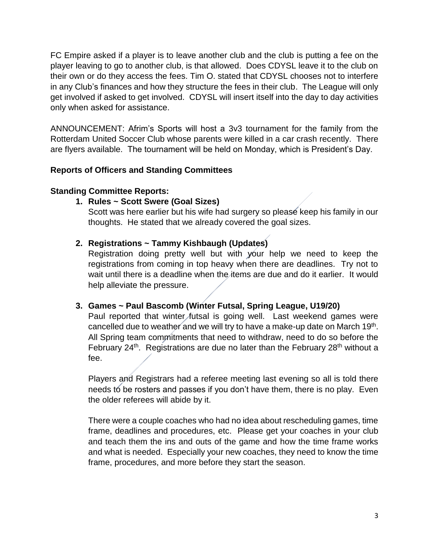FC Empire asked if a player is to leave another club and the club is putting a fee on the player leaving to go to another club, is that allowed. Does CDYSL leave it to the club on their own or do they access the fees. Tim O. stated that CDYSL chooses not to interfere in any Club's finances and how they structure the fees in their club. The League will only get involved if asked to get involved. CDYSL will insert itself into the day to day activities only when asked for assistance.

ANNOUNCEMENT: Afrim's Sports will host a 3v3 tournament for the family from the Rotterdam United Soccer Club whose parents were killed in a car crash recently. There are flyers available. The tournament will be held on Monday, which is President's Day.

# **Reports of Officers and Standing Committees**

# **Standing Committee Reports:**

## **1. Rules ~ Scott Swere (Goal Sizes)**

Scott was here earlier but his wife had surgery so please keep his family in our thoughts. He stated that we already covered the goal sizes.

# **2. Registrations ~ Tammy Kishbaugh (Updates)**

Registration doing pretty well but with your help we need to keep the registrations from coming in top heavy when there are deadlines. Try not to wait until there is a deadline when the items are due and do it earlier. It would help alleviate the pressure.

#### **3. Games ~ Paul Bascomb (Winter Futsal, Spring League, U19/20)**

Paul reported that winter futsal is going well. Last weekend games were cancelled due to weather and we will try to have a make-up date on March 19<sup>th</sup>. All Spring team commitments that need to withdraw, need to do so before the February  $24<sup>th</sup>$ . Registrations are due no later than the February  $28<sup>th</sup>$  without a fee.

Players and Registrars had a referee meeting last evening so all is told there needs to be rosters and passes if you don't have them, there is no play. Even the older referees will abide by it.

There were a couple coaches who had no idea about rescheduling games, time frame, deadlines and procedures, etc. Please get your coaches in your club and teach them the ins and outs of the game and how the time frame works and what is needed. Especially your new coaches, they need to know the time frame, procedures, and more before they start the season.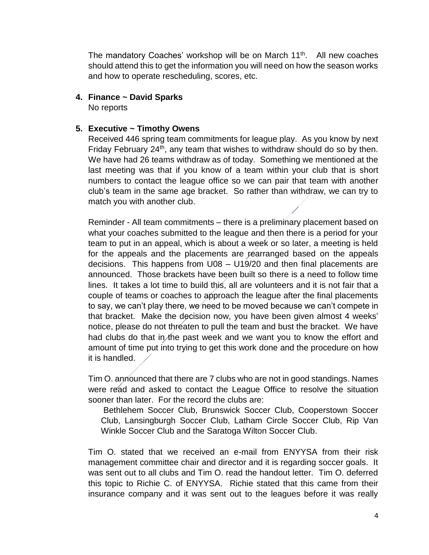The mandatory Coaches' workshop will be on March 11<sup>th</sup>. All new coaches should attend this to get the information you will need on how the season works and how to operate rescheduling, scores, etc.

#### **4. Finance ~ David Sparks**

No reports

#### **5. Executive ~ Timothy Owens**

Received 446 spring team commitments for league play. As you know by next Friday February 24<sup>th</sup>, any team that wishes to withdraw should do so by then. We have had 26 teams withdraw as of today. Something we mentioned at the last meeting was that if you know of a team within your club that is short numbers to contact the league office so we can pair that team with another club's team in the same age bracket. So rather than withdraw, we can try to match you with another club.

Reminder - All team commitments – there is a preliminary placement based on what your coaches submitted to the league and then there is a period for your team to put in an appeal, which is about a week or so later, a meeting is held for the appeals and the placements are rearranged based on the appeals decisions. This happens from U08 – U19/20 and then final placements are announced. Those brackets have been built so there is a need to follow time lines. It takes a lot time to build this, all are volunteers and it is not fair that a couple of teams or coaches to approach the league after the final placements to say, we can't play there, we need to be moved because we can't compete in that bracket. Make the decision now, you have been given almost 4 weeks' notice, please do not threaten to pull the team and bust the bracket. We have had clubs do that in the past week and we want you to know the effort and amount of time put into trying to get this work done and the procedure on how it is handled.

Tim O. announced that there are 7 clubs who are not in good standings. Names were read and asked to contact the League Office to resolve the situation sooner than later. For the record the clubs are:

Bethlehem Soccer Club, Brunswick Soccer Club, Cooperstown Soccer Club, Lansingburgh Soccer Club, Latham Circle Soccer Club, Rip Van Winkle Soccer Club and the Saratoga Wilton Soccer Club.

Tim O. stated that we received an e-mail from ENYYSA from their risk management committee chair and director and it is regarding soccer goals. It was sent out to all clubs and Tim O. read the handout letter. Tim O. deferred this topic to Richie C. of ENYYSA. Richie stated that this came from their insurance company and it was sent out to the leagues before it was really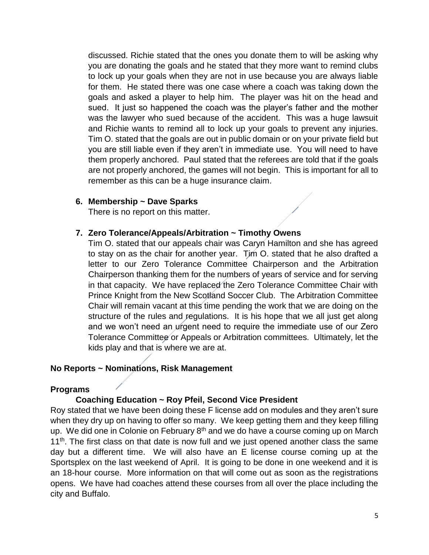discussed. Richie stated that the ones you donate them to will be asking why you are donating the goals and he stated that they more want to remind clubs to lock up your goals when they are not in use because you are always liable for them. He stated there was one case where a coach was taking down the goals and asked a player to help him. The player was hit on the head and sued. It just so happened the coach was the player's father and the mother was the lawyer who sued because of the accident. This was a huge lawsuit and Richie wants to remind all to lock up your goals to prevent any injuries. Tim O. stated that the goals are out in public domain or on your private field but you are still liable even if they aren't in immediate use. You will need to have them properly anchored. Paul stated that the referees are told that if the goals are not properly anchored, the games will not begin. This is important for all to remember as this can be a huge insurance claim.

#### **6. Membership ~ Dave Sparks**

There is no report on this matter.

## **7. Zero Tolerance/Appeals/Arbitration ~ Timothy Owens**

Tim O. stated that our appeals chair was Caryn Hamilton and she has agreed to stay on as the chair for another year. Tim O. stated that he also drafted a letter to our Zero Tolerance Committee Chairperson and the Arbitration Chairperson thanking them for the numbers of years of service and for serving in that capacity. We have replaced the Zero Tolerance Committee Chair with Prince Knight from the New Scotland Soccer Club. The Arbitration Committee Chair will remain vacant at this time pending the work that we are doing on the structure of the rules and regulations. It is his hope that we all just get along and we won't need an urgent need to require the immediate use of our Zero Tolerance Committee or Appeals or Arbitration committees. Ultimately, let the kids play and that is where we are at.

# **No Reports ~ Nominations, Risk Management**

#### **Programs**

# **Coaching Education ~ Roy Pfeil, Second Vice President**

Roy stated that we have been doing these F license add on modules and they aren't sure when they dry up on having to offer so many. We keep getting them and they keep filling up. We did one in Colonie on February 8<sup>th</sup> and we do have a course coming up on March  $11<sup>th</sup>$ . The first class on that date is now full and we just opened another class the same day but a different time. We will also have an E license course coming up at the Sportsplex on the last weekend of April. It is going to be done in one weekend and it is an 18-hour course. More information on that will come out as soon as the registrations opens. We have had coaches attend these courses from all over the place including the city and Buffalo.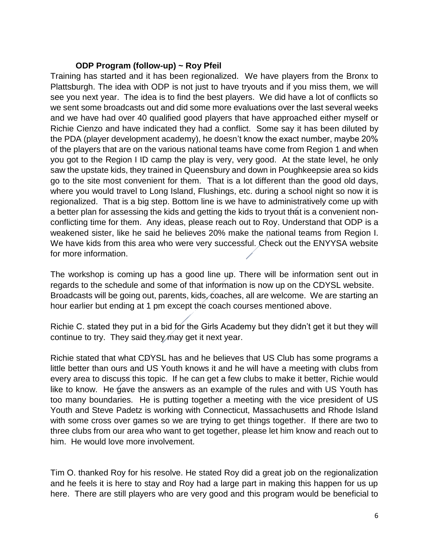## **ODP Program (follow-up) ~ Roy Pfeil**

Training has started and it has been regionalized. We have players from the Bronx to Plattsburgh. The idea with ODP is not just to have tryouts and if you miss them, we will see you next year. The idea is to find the best players. We did have a lot of conflicts so we sent some broadcasts out and did some more evaluations over the last several weeks and we have had over 40 qualified good players that have approached either myself or Richie Cienzo and have indicated they had a conflict. Some say it has been diluted by the PDA (player development academy), he doesn't know the exact number, maybe 20% of the players that are on the various national teams have come from Region 1 and when you got to the Region I ID camp the play is very, very good. At the state level, he only saw the upstate kids, they trained in Queensbury and down in Poughkeepsie area so kids go to the site most convenient for them. That is a lot different than the good old days, where you would travel to Long Island, Flushings, etc. during a school night so now it is regionalized. That is a big step. Bottom line is we have to administratively come up with a better plan for assessing the kids and getting the kids to tryout that is a convenient nonconflicting time for them. Any ideas, please reach out to Roy. Understand that ODP is a weakened sister, like he said he believes 20% make the national teams from Region I. We have kids from this area who were very successful. Check out the ENYYSA website for more information.

The workshop is coming up has a good line up. There will be information sent out in regards to the schedule and some of that information is now up on the CDYSL website. Broadcasts will be going out, parents, kids, coaches, all are welcome. We are starting an hour earlier but ending at 1 pm except the coach courses mentioned above.

Richie C. stated they put in a bid for the Girls Academy but they didn't get it but they will continue to try. They said they may get it next year.

Richie stated that what CDYSL has and he believes that US Club has some programs a little better than ours and US Youth knows it and he will have a meeting with clubs from every area to discuss this topic. If he can get a few clubs to make it better, Richie would like to know. He gave the answers as an example of the rules and with US Youth has too many boundaries. He is putting together a meeting with the vice president of US Youth and Steve Padetz is working with Connecticut, Massachusetts and Rhode Island with some cross over games so we are trying to get things together. If there are two to three clubs from our area who want to get together, please let him know and reach out to him. He would love more involvement.

Tim O. thanked Roy for his resolve. He stated Roy did a great job on the regionalization and he feels it is here to stay and Roy had a large part in making this happen for us up here. There are still players who are very good and this program would be beneficial to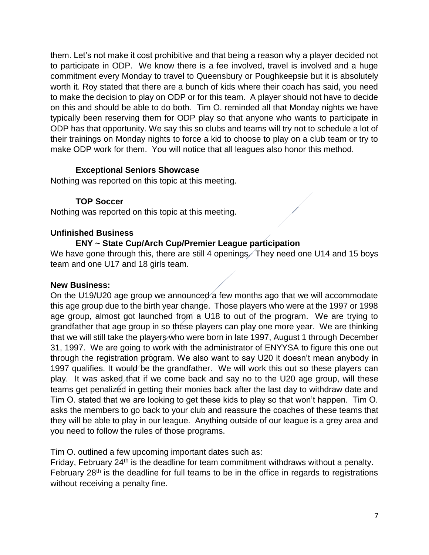them. Let's not make it cost prohibitive and that being a reason why a player decided not to participate in ODP. We know there is a fee involved, travel is involved and a huge commitment every Monday to travel to Queensbury or Poughkeepsie but it is absolutely worth it. Roy stated that there are a bunch of kids where their coach has said, you need to make the decision to play on ODP or for this team. A player should not have to decide on this and should be able to do both. Tim O. reminded all that Monday nights we have typically been reserving them for ODP play so that anyone who wants to participate in ODP has that opportunity. We say this so clubs and teams will try not to schedule a lot of their trainings on Monday nights to force a kid to choose to play on a club team or try to make ODP work for them. You will notice that all leagues also honor this method.

# **Exceptional Seniors Showcase**

Nothing was reported on this topic at this meeting.

## **TOP Soccer**

Nothing was reported on this topic at this meeting.

#### **Unfinished Business**

## **ENY ~ State Cup/Arch Cup/Premier League participation**

We have gone through this, there are still 4 openings. They need one U14 and 15 boys team and one U17 and 18 girls team.

#### **New Business:**

On the U19/U20 age group we announced a few months ago that we will accommodate this age group due to the birth year change. Those players who were at the 1997 or 1998 age group, almost got launched from a U18 to out of the program. We are trying to grandfather that age group in so these players can play one more year. We are thinking that we will still take the players who were born in late 1997, August 1 through December 31, 1997. We are going to work with the administrator of ENYYSA to figure this one out through the registration program. We also want to say U20 it doesn't mean anybody in 1997 qualifies. It would be the grandfather. We will work this out so these players can play. It was asked that if we come back and say no to the U20 age group, will these teams get penalized in getting their monies back after the last day to withdraw date and Tim O. stated that we are looking to get these kids to play so that won't happen. Tim O. asks the members to go back to your club and reassure the coaches of these teams that they will be able to play in our league. Anything outside of our league is a grey area and you need to follow the rules of those programs.

Tim O. outlined a few upcoming important dates such as:

Friday, February  $24<sup>th</sup>$  is the deadline for team commitment withdraws without a penalty. February  $28<sup>th</sup>$  is the deadline for full teams to be in the office in regards to registrations without receiving a penalty fine.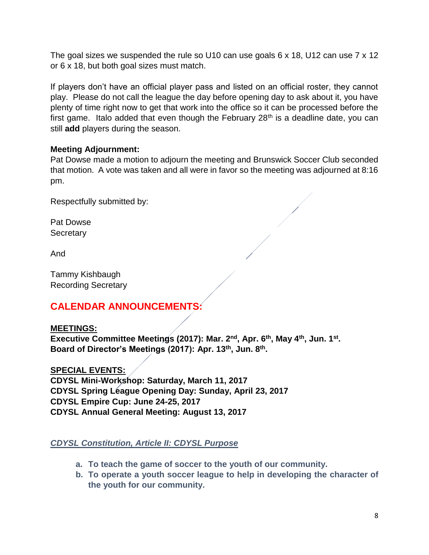The goal sizes we suspended the rule so U10 can use goals 6 x 18, U12 can use 7 x 12 or 6 x 18, but both goal sizes must match.

If players don't have an official player pass and listed on an official roster, they cannot play. Please do not call the league the day before opening day to ask about it, you have plenty of time right now to get that work into the office so it can be processed before the first game. Italo added that even though the February  $28<sup>th</sup>$  is a deadline date, you can still **add** players during the season.

# **Meeting Adjournment:**

Pat Dowse made a motion to adjourn the meeting and Brunswick Soccer Club seconded that motion. A vote was taken and all were in favor so the meeting was adjourned at 8:16 pm.

Respectfully submitted by:

Pat Dowse **Secretary** 

And

Tammy Kishbaugh Recording Secretary

# **CALENDAR ANNOUNCEMENTS:**

**MEETINGS: Executive Committee Meetings (2017): Mar. 2nd, Apr. 6th, May 4th, Jun. 1st . Board of Director's Meetings (2017): Apr. 13th, Jun. 8th .**

**SPECIAL EVENTS: CDYSL Mini-Workshop: Saturday, March 11, 2017 CDYSL Spring League Opening Day: Sunday, April 23, 2017 CDYSL Empire Cup: June 24-25, 2017 CDYSL Annual General Meeting: August 13, 2017**

*CDYSL Constitution, Article II: CDYSL Purpose*

- **a. To teach the game of soccer to the youth of our community.**
- **b. To operate a youth soccer league to help in developing the character of the youth for our community.**